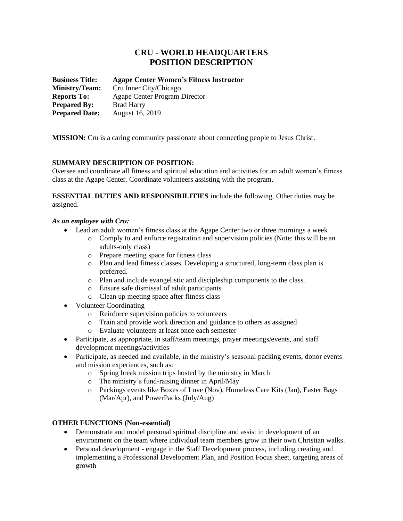# **CRU - WORLD HEADQUARTERS POSITION DESCRIPTION**

| <b>Business Title:</b> | <b>Agape Center Women's Fitness Instructor</b> |
|------------------------|------------------------------------------------|
| <b>Ministry/Team:</b>  | Cru Inner City/Chicago                         |
| <b>Reports To:</b>     | Agape Center Program Director                  |
| <b>Prepared By:</b>    | <b>Brad Harry</b>                              |
| <b>Prepared Date:</b>  | August 16, 2019                                |

**MISSION:** Cru is a caring community passionate about connecting people to Jesus Christ.

# **SUMMARY DESCRIPTION OF POSITION:**

Oversee and coordinate all fitness and spiritual education and activities for an adult women's fitness class at the Agape Center. Coordinate volunteers assisting with the program.

**ESSENTIAL DUTIES AND RESPONSIBILITIES** include the following. Other duties may be assigned.

## *As an employee with Cru:*

- Lead an adult women's fitness class at the Agape Center two or three mornings a week
	- o Comply to and enforce registration and supervision policies (Note: this will be an adults-only class)
	- o Prepare meeting space for fitness class
	- o Plan and lead fitness classes. Developing a structured, long-term class plan is preferred.
	- o Plan and include evangelistic and discipleship components to the class.
	- o Ensure safe dismissal of adult participants
	- o Clean up meeting space after fitness class
- Volunteer Coordinating
	- o Reinforce supervision policies to volunteers
	- o Train and provide work direction and guidance to others as assigned
	- o Evaluate volunteers at least once each semester
- Participate, as appropriate, in staff/team meetings, prayer meetings/events, and staff development meetings/activities
- Participate, as needed and available, in the ministry's seasonal packing events, donor events and mission experiences, such as:
	- o Spring break mission trips hosted by the ministry in March
	- o The ministry's fund-raising dinner in April/May
	- o Packings events like Boxes of Love (Nov), Homeless Care Kits (Jan), Easter Bags (Mar/Apr), and PowerPacks (July/Aug)

# **OTHER FUNCTIONS (Non-essential)**

- Demonstrate and model personal spiritual discipline and assist in development of an environment on the team where individual team members grow in their own Christian walks.
- Personal development engage in the Staff Development process, including creating and implementing a Professional Development Plan, and Position Focus sheet, targeting areas of growth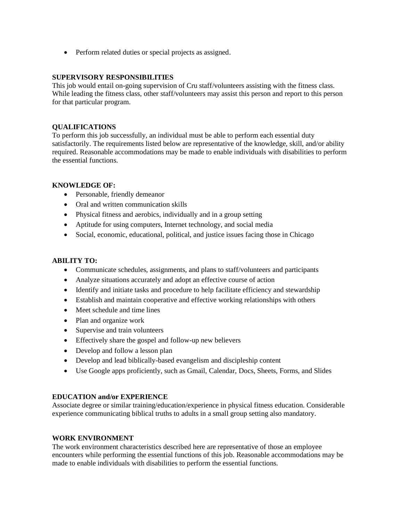• Perform related duties or special projects as assigned.

### **SUPERVISORY RESPONSIBILITIES**

This job would entail on-going supervision of Cru staff/volunteers assisting with the fitness class. While leading the fitness class, other staff/volunteers may assist this person and report to this person for that particular program.

## **QUALIFICATIONS**

To perform this job successfully, an individual must be able to perform each essential duty satisfactorily. The requirements listed below are representative of the knowledge, skill, and/or ability required. Reasonable accommodations may be made to enable individuals with disabilities to perform the essential functions.

#### **KNOWLEDGE OF:**

- Personable, friendly demeanor
- Oral and written communication skills
- Physical fitness and aerobics, individually and in a group setting
- Aptitude for using computers, Internet technology, and social media
- Social, economic, educational, political, and justice issues facing those in Chicago

### **ABILITY TO:**

- Communicate schedules, assignments, and plans to staff/volunteers and participants
- Analyze situations accurately and adopt an effective course of action
- Identify and initiate tasks and procedure to help facilitate efficiency and stewardship
- Establish and maintain cooperative and effective working relationships with others
- Meet schedule and time lines
- Plan and organize work
- Supervise and train volunteers
- Effectively share the gospel and follow-up new believers
- Develop and follow a lesson plan
- Develop and lead biblically-based evangelism and discipleship content
- Use Google apps proficiently, such as Gmail, Calendar, Docs, Sheets, Forms, and Slides

#### **EDUCATION and/or EXPERIENCE**

Associate degree or similar training/education/experience in physical fitness education. Considerable experience communicating biblical truths to adults in a small group setting also mandatory.

#### **WORK ENVIRONMENT**

The work environment characteristics described here are representative of those an employee encounters while performing the essential functions of this job. Reasonable accommodations may be made to enable individuals with disabilities to perform the essential functions.